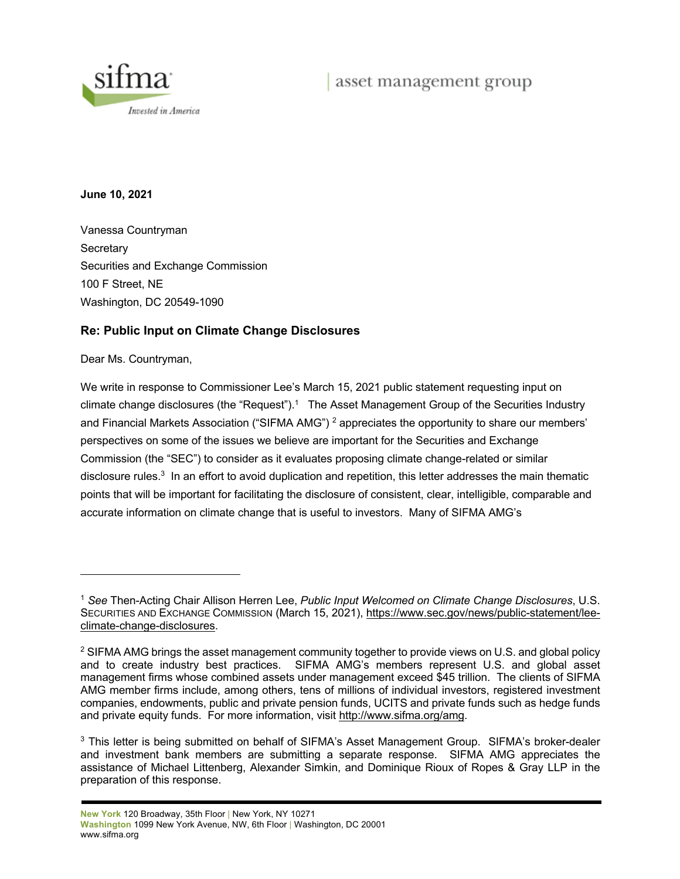



**June 10, 2021**

Vanessa Countryman **Secretary** Securities and Exchange Commission 100 F Street, NE Washington, DC 20549-1090

#### **Re: Public Input on Climate Change Disclosures**

Dear Ms. Countryman,

We write in response to Commissioner Lee's March 15, 2021 public statement requesting input on climate change disclosures (the "Request").<sup>1</sup> The Asset Management Group of the Securities Industry and Financial Markets Association ("SIFMA AMG")<sup>2</sup> appreciates the opportunity to share our members' perspectives on some of the issues we believe are important for the Securities and Exchange Commission (the "SEC") to consider as it evaluates proposing climate change-related or similar disclosure rules.<sup>3</sup> In an effort to avoid duplication and repetition, this letter addresses the main thematic points that will be important for facilitating the disclosure of consistent, clear, intelligible, comparable and accurate information on climate change that is useful to investors. Many of SIFMA AMG's

<sup>1</sup> *See* Then-Acting Chair Allison Herren Lee, *Public Input Welcomed on Climate Change Disclosures*, U.S. SECURITIES AND EXCHANGE COMMISSION (March 15, 2021), https://www.sec.gov/news/public-statement/leeclimate-change-disclosures.

<sup>&</sup>lt;sup>2</sup> SIFMA AMG brings the asset management community together to provide views on U.S. and global policy and to create industry best practices. SIFMA AMG's members represent U.S. and global asset management firms whose combined assets under management exceed \$45 trillion. The clients of SIFMA AMG member firms include, among others, tens of millions of individual investors, registered investment companies, endowments, public and private pension funds, UCITS and private funds such as hedge funds and private equity funds. For more information, visit http://www.sifma.org/amg.

<sup>&</sup>lt;sup>3</sup> This letter is being submitted on behalf of SIFMA's Asset Management Group. SIFMA's broker-dealer and investment bank members are submitting a separate response. SIFMA AMG appreciates the assistance of Michael Littenberg, Alexander Simkin, and Dominique Rioux of Ropes & Gray LLP in the preparation of this response.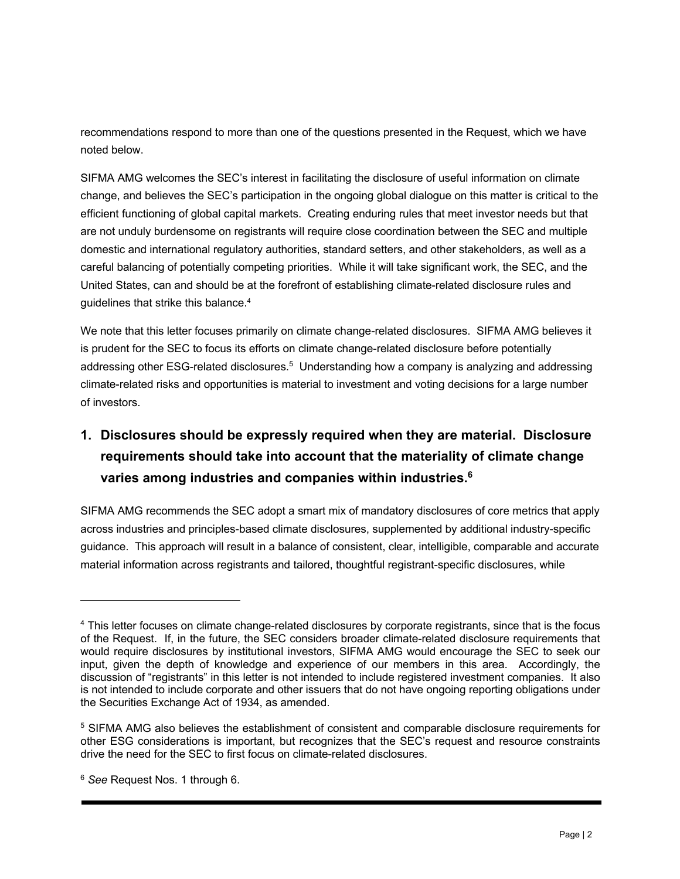recommendations respond to more than one of the questions presented in the Request, which we have noted below.

SIFMA AMG welcomes the SEC's interest in facilitating the disclosure of useful information on climate change, and believes the SEC's participation in the ongoing global dialogue on this matter is critical to the efficient functioning of global capital markets. Creating enduring rules that meet investor needs but that are not unduly burdensome on registrants will require close coordination between the SEC and multiple domestic and international regulatory authorities, standard setters, and other stakeholders, as well as a careful balancing of potentially competing priorities. While it will take significant work, the SEC, and the United States, can and should be at the forefront of establishing climate-related disclosure rules and guidelines that strike this balance.4

We note that this letter focuses primarily on climate change-related disclosures. SIFMA AMG believes it is prudent for the SEC to focus its efforts on climate change-related disclosure before potentially addressing other ESG-related disclosures.<sup>5</sup> Understanding how a company is analyzing and addressing climate-related risks and opportunities is material to investment and voting decisions for a large number of investors.

# **1. Disclosures should be expressly required when they are material. Disclosure requirements should take into account that the materiality of climate change varies among industries and companies within industries.6**

SIFMA AMG recommends the SEC adopt a smart mix of mandatory disclosures of core metrics that apply across industries and principles-based climate disclosures, supplemented by additional industry-specific guidance. This approach will result in a balance of consistent, clear, intelligible, comparable and accurate material information across registrants and tailored, thoughtful registrant-specific disclosures, while

<sup>4</sup> This letter focuses on climate change-related disclosures by corporate registrants, since that is the focus of the Request. If, in the future, the SEC considers broader climate-related disclosure requirements that would require disclosures by institutional investors, SIFMA AMG would encourage the SEC to seek our input, given the depth of knowledge and experience of our members in this area. Accordingly, the discussion of "registrants" in this letter is not intended to include registered investment companies. It also is not intended to include corporate and other issuers that do not have ongoing reporting obligations under the Securities Exchange Act of 1934, as amended.

<sup>5</sup> SIFMA AMG also believes the establishment of consistent and comparable disclosure requirements for other ESG considerations is important, but recognizes that the SEC's request and resource constraints drive the need for the SEC to first focus on climate-related disclosures.

<sup>6</sup> *See* Request Nos. 1 through 6.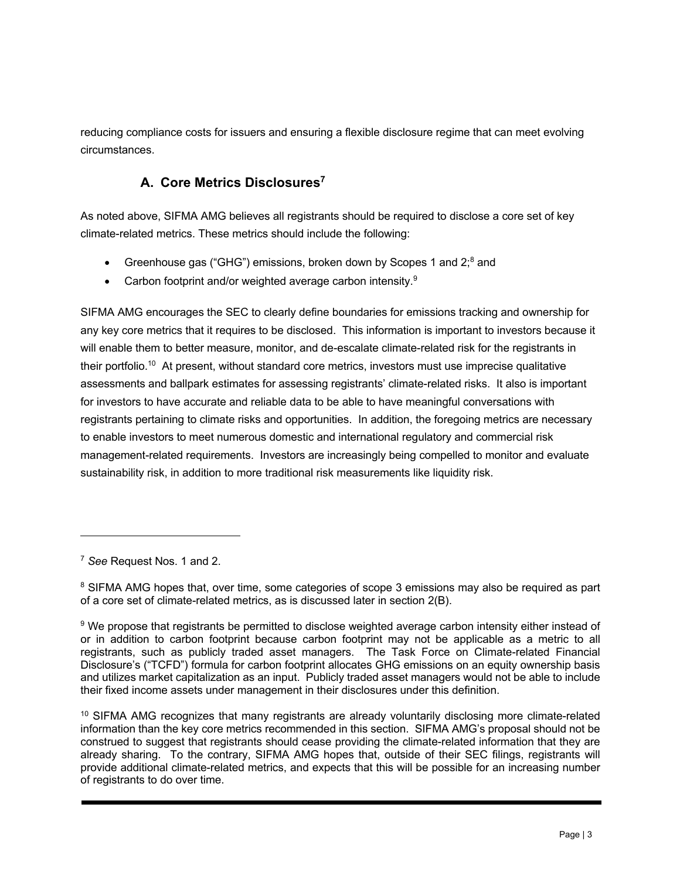reducing compliance costs for issuers and ensuring a flexible disclosure regime that can meet evolving circumstances.

## **A. Core Metrics Disclosures7**

As noted above, SIFMA AMG believes all registrants should be required to disclose a core set of key climate-related metrics. These metrics should include the following:

- Greenhouse gas ("GHG") emissions, broken down by Scopes 1 and 2;<sup>8</sup> and
- Carbon footprint and/or weighted average carbon intensity.<sup>9</sup>

SIFMA AMG encourages the SEC to clearly define boundaries for emissions tracking and ownership for any key core metrics that it requires to be disclosed. This information is important to investors because it will enable them to better measure, monitor, and de-escalate climate-related risk for the registrants in their portfolio.10 At present, without standard core metrics, investors must use imprecise qualitative assessments and ballpark estimates for assessing registrants' climate-related risks. It also is important for investors to have accurate and reliable data to be able to have meaningful conversations with registrants pertaining to climate risks and opportunities. In addition, the foregoing metrics are necessary to enable investors to meet numerous domestic and international regulatory and commercial risk management-related requirements. Investors are increasingly being compelled to monitor and evaluate sustainability risk, in addition to more traditional risk measurements like liquidity risk.

<sup>7</sup> *See* Request Nos. 1 and 2.

<sup>&</sup>lt;sup>8</sup> SIFMA AMG hopes that, over time, some categories of scope 3 emissions may also be required as part of a core set of climate-related metrics, as is discussed later in section 2(B).

<sup>&</sup>lt;sup>9</sup> We propose that registrants be permitted to disclose weighted average carbon intensity either instead of or in addition to carbon footprint because carbon footprint may not be applicable as a metric to all registrants, such as publicly traded asset managers. The Task Force on Climate-related Financial Disclosure's ("TCFD") formula for carbon footprint allocates GHG emissions on an equity ownership basis and utilizes market capitalization as an input. Publicly traded asset managers would not be able to include their fixed income assets under management in their disclosures under this definition.

<sup>&</sup>lt;sup>10</sup> SIFMA AMG recognizes that many registrants are already voluntarily disclosing more climate-related information than the key core metrics recommended in this section. SIFMA AMG's proposal should not be construed to suggest that registrants should cease providing the climate-related information that they are already sharing. To the contrary, SIFMA AMG hopes that, outside of their SEC filings, registrants will provide additional climate-related metrics, and expects that this will be possible for an increasing number of registrants to do over time.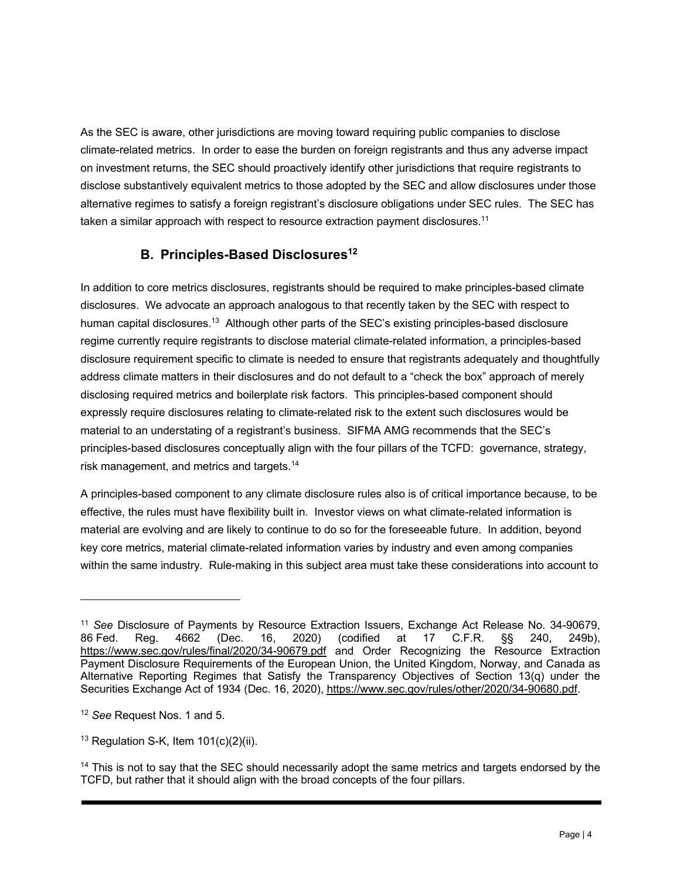As the SEC is aware, other jurisdictions are moving toward requiring public companies to disclose climate-related metrics. In order to ease the burden on foreign registrants and thus any adverse impact on investment returns, the SEC should proactively identify other jurisdictions that require registrants to disclose substantively equivalent metrics to those adopted by the SEC and allow disclosures under those alternative regimes to satisfy a foreign registrant's disclosure obligations under SEC rules. The SEC has taken a similar approach with respect to resource extraction payment disclosures.<sup>11</sup>

### **B.** Principles-Based Disclosures<sup>12</sup>

In addition to core metrics disclosures, registrants should be required to make principles-based climate disclosures. We advocate an approach analogous to that recently taken by the SEC with respect to human capital disclosures.<sup>13</sup> Although other parts of the SEC's existing principles-based disclosure regime currently require registrants to disclose material climate-related information, a principles-based disclosure requirement specific to climate is needed to ensure that registrants adequately and thoughtfully address climate matters in their disclosures and do not default to a "check the box" approach of merely disclosing required metrics and boilerplate risk factors. This principles-based component should expressly require disclosures relating to climate-related risk to the extent such disclosures would be material to an understating of a registrant's business. SIFMA AMG recommends that the SEC's principles-based disclosures conceptually align with the four pillars of the TCFD: governance, strategy, risk management, and metrics and targets.14

A principles-based component to any climate disclosure rules also is of critical importance because, to be effective, the rules must have flexibility built in. Investor views on what climate-related information is material are evolving and are likely to continue to do so for the foreseeable future. In addition, beyond key core metrics, material climate-related information varies by industry and even among companies within the same industry. Rule-making in this subject area must take these considerations into account to

<sup>11</sup> *See* Disclosure of Payments by Resource Extraction Issuers, Exchange Act Release No. 34-90679, 86 Fed. Reg. 4662 (Dec. 16, 2020) (codified at 17 C.F.R. §§ 240, 249b), https://www.sec.gov/rules/final/2020/34-90679.pdf and Order Recognizing the Resource Extraction Payment Disclosure Requirements of the European Union, the United Kingdom, Norway, and Canada as Alternative Reporting Regimes that Satisfy the Transparency Objectives of Section 13(q) under the Securities Exchange Act of 1934 (Dec. 16, 2020), https://www.sec.gov/rules/other/2020/34-90680.pdf.

<sup>12</sup> *See* Request Nos. 1 and 5.

<sup>&</sup>lt;sup>13</sup> Regulation S-K, Item  $101(c)(2)(ii)$ .

 $14$  This is not to say that the SEC should necessarily adopt the same metrics and targets endorsed by the TCFD, but rather that it should align with the broad concepts of the four pillars.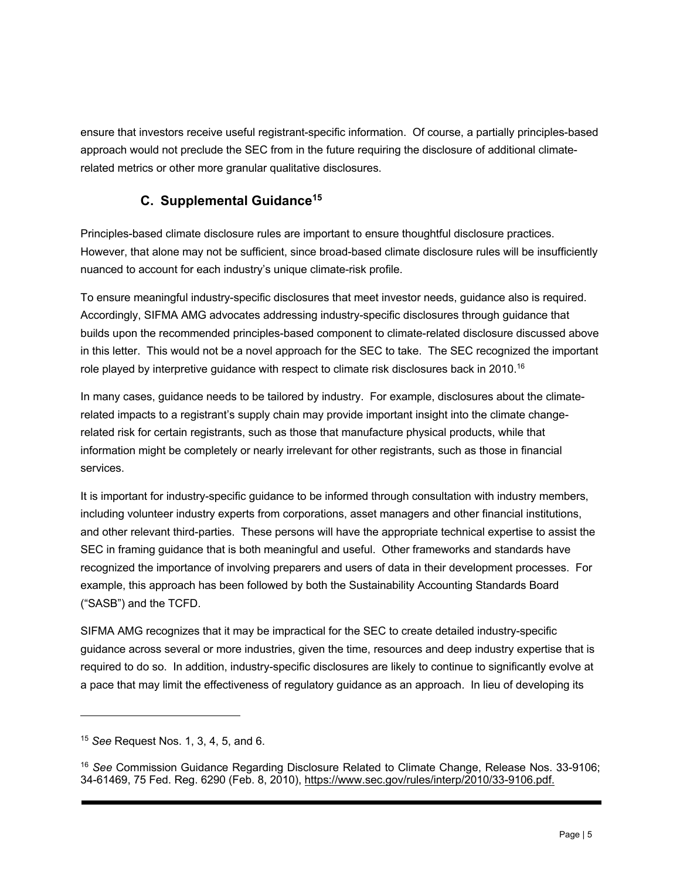ensure that investors receive useful registrant-specific information. Of course, a partially principles-based approach would not preclude the SEC from in the future requiring the disclosure of additional climaterelated metrics or other more granular qualitative disclosures.

### **C. Supplemental Guidance15**

Principles-based climate disclosure rules are important to ensure thoughtful disclosure practices. However, that alone may not be sufficient, since broad-based climate disclosure rules will be insufficiently nuanced to account for each industry's unique climate-risk profile.

To ensure meaningful industry-specific disclosures that meet investor needs, guidance also is required. Accordingly, SIFMA AMG advocates addressing industry-specific disclosures through guidance that builds upon the recommended principles-based component to climate-related disclosure discussed above in this letter. This would not be a novel approach for the SEC to take. The SEC recognized the important role played by interpretive guidance with respect to climate risk disclosures back in 2010.<sup>16</sup>

In many cases, guidance needs to be tailored by industry. For example, disclosures about the climaterelated impacts to a registrant's supply chain may provide important insight into the climate changerelated risk for certain registrants, such as those that manufacture physical products, while that information might be completely or nearly irrelevant for other registrants, such as those in financial services.

It is important for industry-specific guidance to be informed through consultation with industry members, including volunteer industry experts from corporations, asset managers and other financial institutions, and other relevant third-parties. These persons will have the appropriate technical expertise to assist the SEC in framing guidance that is both meaningful and useful. Other frameworks and standards have recognized the importance of involving preparers and users of data in their development processes. For example, this approach has been followed by both the Sustainability Accounting Standards Board ("SASB") and the TCFD.

SIFMA AMG recognizes that it may be impractical for the SEC to create detailed industry-specific guidance across several or more industries, given the time, resources and deep industry expertise that is required to do so. In addition, industry-specific disclosures are likely to continue to significantly evolve at a pace that may limit the effectiveness of regulatory guidance as an approach. In lieu of developing its

<sup>15</sup> *See* Request Nos. 1, 3, 4, 5, and 6.

<sup>16</sup> *See* Commission Guidance Regarding Disclosure Related to Climate Change, Release Nos. 33-9106; 34-61469, 75 Fed. Reg. 6290 (Feb. 8, 2010), https://www.sec.gov/rules/interp/2010/33-9106.pdf.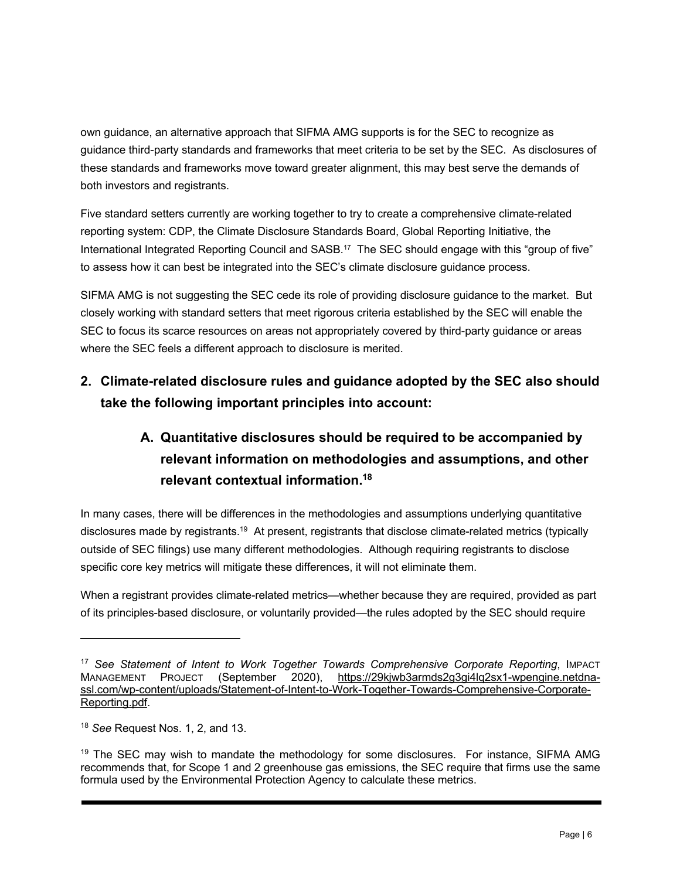own guidance, an alternative approach that SIFMA AMG supports is for the SEC to recognize as guidance third-party standards and frameworks that meet criteria to be set by the SEC. As disclosures of these standards and frameworks move toward greater alignment, this may best serve the demands of both investors and registrants.

Five standard setters currently are working together to try to create a comprehensive climate-related reporting system: CDP, the Climate Disclosure Standards Board, Global Reporting Initiative, the International Integrated Reporting Council and SASB.17 The SEC should engage with this "group of five" to assess how it can best be integrated into the SEC's climate disclosure guidance process.

SIFMA AMG is not suggesting the SEC cede its role of providing disclosure guidance to the market. But closely working with standard setters that meet rigorous criteria established by the SEC will enable the SEC to focus its scarce resources on areas not appropriately covered by third-party guidance or areas where the SEC feels a different approach to disclosure is merited.

# **2. Climate-related disclosure rules and guidance adopted by the SEC also should take the following important principles into account:**

# **A. Quantitative disclosures should be required to be accompanied by relevant information on methodologies and assumptions, and other relevant contextual information.18**

In many cases, there will be differences in the methodologies and assumptions underlying quantitative disclosures made by registrants.<sup>19</sup> At present, registrants that disclose climate-related metrics (typically outside of SEC filings) use many different methodologies. Although requiring registrants to disclose specific core key metrics will mitigate these differences, it will not eliminate them.

When a registrant provides climate-related metrics—whether because they are required, provided as part of its principles-based disclosure, or voluntarily provided—the rules adopted by the SEC should require

<sup>17</sup> *See Statement of Intent to Work Together Towards Comprehensive Corporate Reporting*, IMPACT MANAGEMENT PROJECT (September 2020), https://29kjwb3armds2g3gi4lq2sx1-wpengine.netdnassl.com/wp-content/uploads/Statement-of-Intent-to-Work-Together-Towards-Comprehensive-Corporate-Reporting.pdf.

<sup>18</sup> *See* Request Nos. 1, 2, and 13.

<sup>&</sup>lt;sup>19</sup> The SEC may wish to mandate the methodology for some disclosures. For instance, SIFMA AMG recommends that, for Scope 1 and 2 greenhouse gas emissions, the SEC require that firms use the same formula used by the Environmental Protection Agency to calculate these metrics.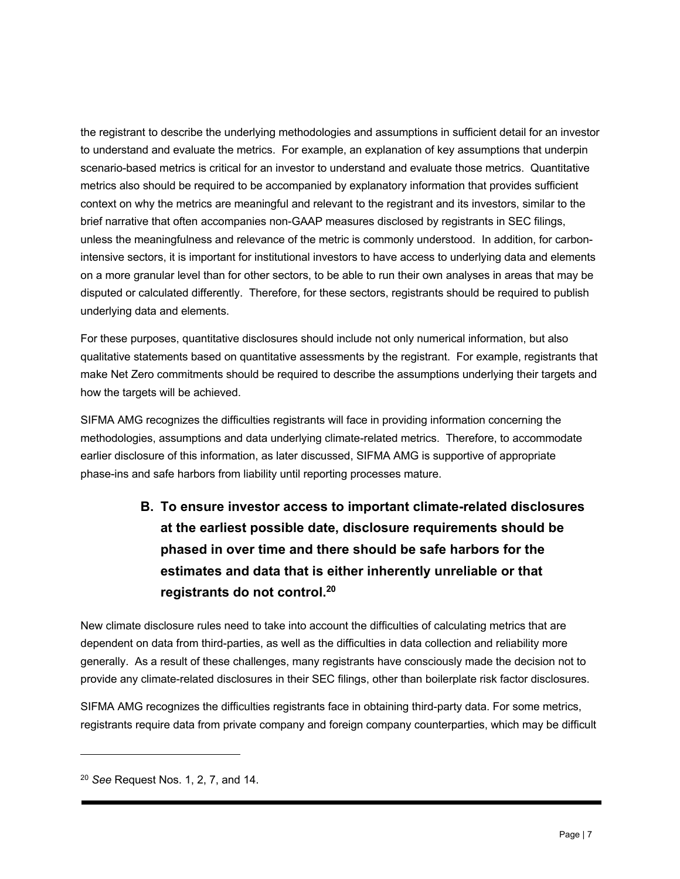the registrant to describe the underlying methodologies and assumptions in sufficient detail for an investor to understand and evaluate the metrics. For example, an explanation of key assumptions that underpin scenario-based metrics is critical for an investor to understand and evaluate those metrics. Quantitative metrics also should be required to be accompanied by explanatory information that provides sufficient context on why the metrics are meaningful and relevant to the registrant and its investors, similar to the brief narrative that often accompanies non-GAAP measures disclosed by registrants in SEC filings, unless the meaningfulness and relevance of the metric is commonly understood. In addition, for carbonintensive sectors, it is important for institutional investors to have access to underlying data and elements on a more granular level than for other sectors, to be able to run their own analyses in areas that may be disputed or calculated differently. Therefore, for these sectors, registrants should be required to publish underlying data and elements.

For these purposes, quantitative disclosures should include not only numerical information, but also qualitative statements based on quantitative assessments by the registrant. For example, registrants that make Net Zero commitments should be required to describe the assumptions underlying their targets and how the targets will be achieved.

SIFMA AMG recognizes the difficulties registrants will face in providing information concerning the methodologies, assumptions and data underlying climate-related metrics. Therefore, to accommodate earlier disclosure of this information, as later discussed, SIFMA AMG is supportive of appropriate phase-ins and safe harbors from liability until reporting processes mature.

> **B. To ensure investor access to important climate-related disclosures at the earliest possible date, disclosure requirements should be phased in over time and there should be safe harbors for the estimates and data that is either inherently unreliable or that registrants do not control.20**

New climate disclosure rules need to take into account the difficulties of calculating metrics that are dependent on data from third-parties, as well as the difficulties in data collection and reliability more generally. As a result of these challenges, many registrants have consciously made the decision not to provide any climate-related disclosures in their SEC filings, other than boilerplate risk factor disclosures.

SIFMA AMG recognizes the difficulties registrants face in obtaining third-party data. For some metrics, registrants require data from private company and foreign company counterparties, which may be difficult

<sup>20</sup> *See* Request Nos. 1, 2, 7, and 14.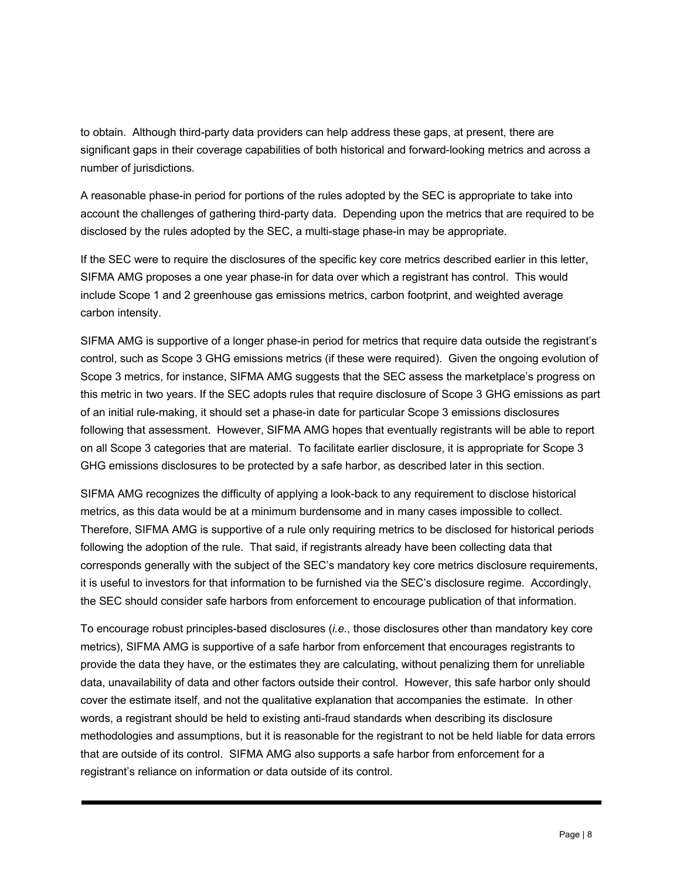to obtain. Although third-party data providers can help address these gaps, at present, there are significant gaps in their coverage capabilities of both historical and forward-looking metrics and across a number of jurisdictions.

A reasonable phase-in period for portions of the rules adopted by the SEC is appropriate to take into account the challenges of gathering third-party data. Depending upon the metrics that are required to be disclosed by the rules adopted by the SEC, a multi-stage phase-in may be appropriate.

If the SEC were to require the disclosures of the specific key core metrics described earlier in this letter, SIFMA AMG proposes a one year phase-in for data over which a registrant has control. This would include Scope 1 and 2 greenhouse gas emissions metrics, carbon footprint, and weighted average carbon intensity.

SIFMA AMG is supportive of a longer phase-in period for metrics that require data outside the registrant's control, such as Scope 3 GHG emissions metrics (if these were required). Given the ongoing evolution of Scope 3 metrics, for instance, SIFMA AMG suggests that the SEC assess the marketplace's progress on this metric in two years. If the SEC adopts rules that require disclosure of Scope 3 GHG emissions as part of an initial rule-making, it should set a phase-in date for particular Scope 3 emissions disclosures following that assessment. However, SIFMA AMG hopes that eventually registrants will be able to report on all Scope 3 categories that are material. To facilitate earlier disclosure, it is appropriate for Scope 3 GHG emissions disclosures to be protected by a safe harbor, as described later in this section.

SIFMA AMG recognizes the difficulty of applying a look-back to any requirement to disclose historical metrics, as this data would be at a minimum burdensome and in many cases impossible to collect. Therefore, SIFMA AMG is supportive of a rule only requiring metrics to be disclosed for historical periods following the adoption of the rule. That said, if registrants already have been collecting data that corresponds generally with the subject of the SEC's mandatory key core metrics disclosure requirements, it is useful to investors for that information to be furnished via the SEC's disclosure regime. Accordingly, the SEC should consider safe harbors from enforcement to encourage publication of that information.

To encourage robust principles-based disclosures (*i.e.*, those disclosures other than mandatory key core metrics), SIFMA AMG is supportive of a safe harbor from enforcement that encourages registrants to provide the data they have, or the estimates they are calculating, without penalizing them for unreliable data, unavailability of data and other factors outside their control. However, this safe harbor only should cover the estimate itself, and not the qualitative explanation that accompanies the estimate. In other words, a registrant should be held to existing anti-fraud standards when describing its disclosure methodologies and assumptions, but it is reasonable for the registrant to not be held liable for data errors that are outside of its control. SIFMA AMG also supports a safe harbor from enforcement for a registrant's reliance on information or data outside of its control.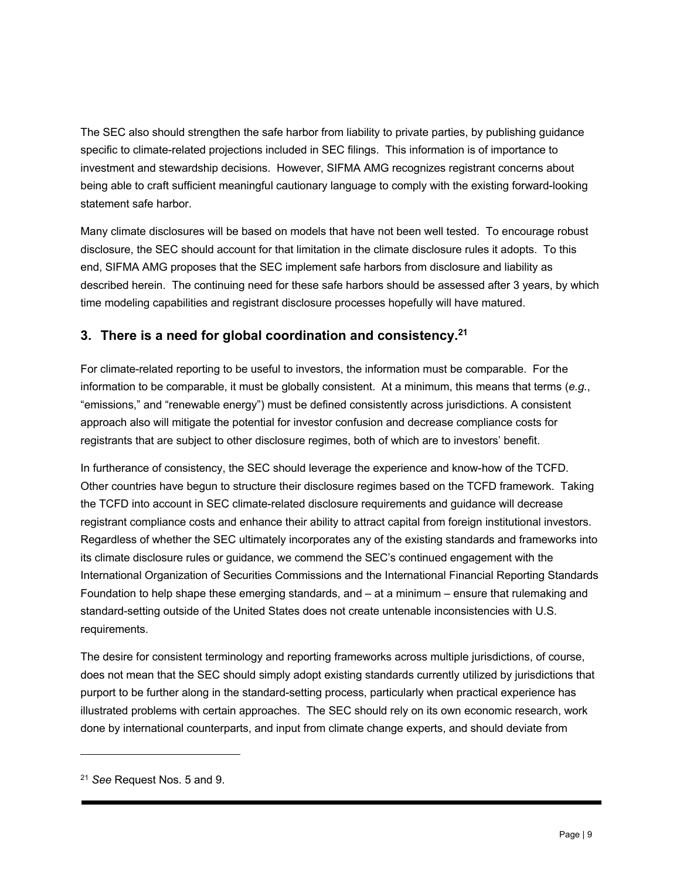The SEC also should strengthen the safe harbor from liability to private parties, by publishing guidance specific to climate-related projections included in SEC filings. This information is of importance to investment and stewardship decisions. However, SIFMA AMG recognizes registrant concerns about being able to craft sufficient meaningful cautionary language to comply with the existing forward-looking statement safe harbor.

Many climate disclosures will be based on models that have not been well tested. To encourage robust disclosure, the SEC should account for that limitation in the climate disclosure rules it adopts. To this end, SIFMA AMG proposes that the SEC implement safe harbors from disclosure and liability as described herein. The continuing need for these safe harbors should be assessed after 3 years, by which time modeling capabilities and registrant disclosure processes hopefully will have matured.

#### **3. There is a need for global coordination and consistency.21**

For climate-related reporting to be useful to investors, the information must be comparable. For the information to be comparable, it must be globally consistent. At a minimum, this means that terms (*e.g.*, "emissions," and "renewable energy") must be defined consistently across jurisdictions. A consistent approach also will mitigate the potential for investor confusion and decrease compliance costs for registrants that are subject to other disclosure regimes, both of which are to investors' benefit.

In furtherance of consistency, the SEC should leverage the experience and know-how of the TCFD. Other countries have begun to structure their disclosure regimes based on the TCFD framework. Taking the TCFD into account in SEC climate-related disclosure requirements and guidance will decrease registrant compliance costs and enhance their ability to attract capital from foreign institutional investors. Regardless of whether the SEC ultimately incorporates any of the existing standards and frameworks into its climate disclosure rules or guidance, we commend the SEC's continued engagement with the International Organization of Securities Commissions and the International Financial Reporting Standards Foundation to help shape these emerging standards, and – at a minimum – ensure that rulemaking and standard-setting outside of the United States does not create untenable inconsistencies with U.S. requirements.

The desire for consistent terminology and reporting frameworks across multiple jurisdictions, of course, does not mean that the SEC should simply adopt existing standards currently utilized by jurisdictions that purport to be further along in the standard-setting process, particularly when practical experience has illustrated problems with certain approaches. The SEC should rely on its own economic research, work done by international counterparts, and input from climate change experts, and should deviate from

<sup>21</sup> *See* Request Nos. 5 and 9.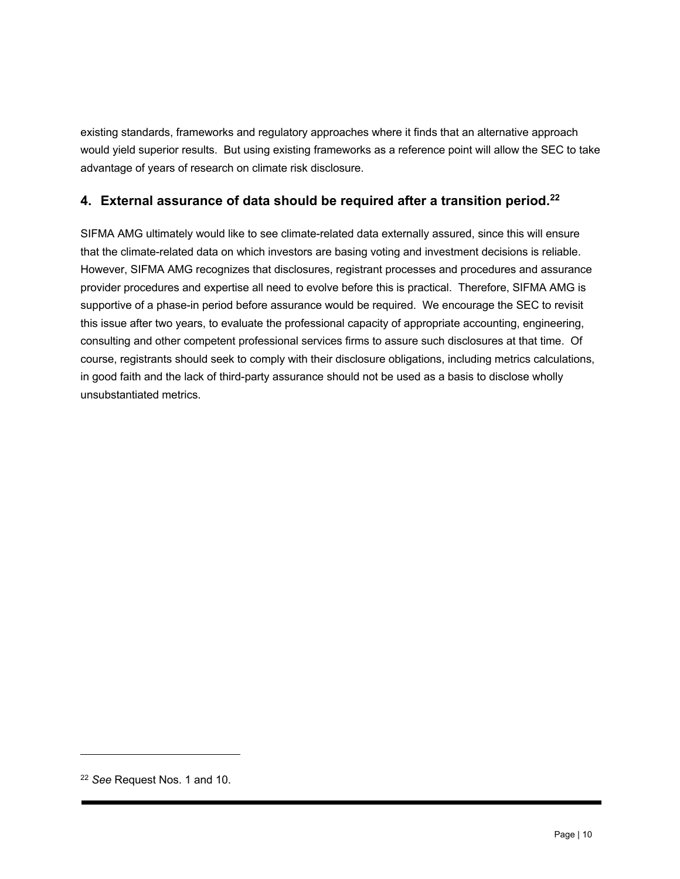existing standards, frameworks and regulatory approaches where it finds that an alternative approach would yield superior results. But using existing frameworks as a reference point will allow the SEC to take advantage of years of research on climate risk disclosure.

#### **4. External assurance of data should be required after a transition period.22**

SIFMA AMG ultimately would like to see climate-related data externally assured, since this will ensure that the climate-related data on which investors are basing voting and investment decisions is reliable. However, SIFMA AMG recognizes that disclosures, registrant processes and procedures and assurance provider procedures and expertise all need to evolve before this is practical. Therefore, SIFMA AMG is supportive of a phase-in period before assurance would be required. We encourage the SEC to revisit this issue after two years, to evaluate the professional capacity of appropriate accounting, engineering, consulting and other competent professional services firms to assure such disclosures at that time. Of course, registrants should seek to comply with their disclosure obligations, including metrics calculations, in good faith and the lack of third-party assurance should not be used as a basis to disclose wholly unsubstantiated metrics.

<sup>22</sup> *See* Request Nos. 1 and 10.